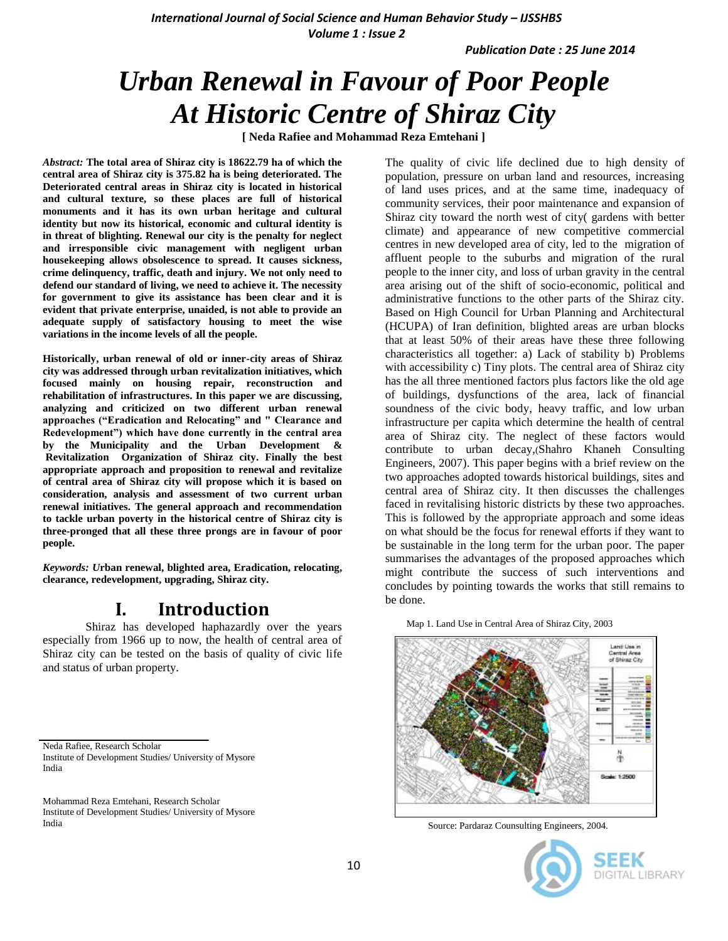*International Journal of Social Science and Human Behavior Study - IJSSHBS Volume 1 : Issue 2*

*Publication Date : 25 June 2014*

# *Urban Renewal in Favour of Poor People At Historic Centre of Shiraz City*

**[ Neda Rafiee and Mohammad Reza Emtehani ]**

*Abstract:* **The total area of Shiraz city is 18622.79 ha of which the central area of Shiraz city is 375.82 ha is being deteriorated. The Deteriorated central areas in Shiraz city is located in historical and cultural texture, so these places are full of historical monuments and it has its own urban heritage and cultural identity but now its historical, economic and cultural identity is in threat of blighting. Renewal our city is the penalty for neglect and irresponsible civic management with negligent urban housekeeping allows obsolescence to spread. It causes sickness, crime delinquency, traffic, death and injury. We not only need to defend our standard of living, we need to achieve it. The necessity for government to give its assistance has been clear and it is evident that private enterprise, unaided, is not able to provide an adequate supply of satisfactory housing to meet the wise variations in the income levels of all the people.**

**Historically, urban renewal of old or inner-city areas of Shiraz city was addressed through urban revitalization initiatives, which focused mainly on housing repair, reconstruction and rehabilitation of infrastructures. In this paper we are discussing, analyzing and criticized on two different urban renewal approaches ("Eradication and Relocating" and " Clearance and Redevelopment") which have done currently in the central area by the Municipality and the Urban Development & Revitalization Organization of Shiraz city. Finally the best appropriate approach and proposition to renewal and revitalize of central area of Shiraz city will propose which it is based on consideration, analysis and assessment of two current urban renewal initiatives. The general approach and recommendation to tackle urban poverty in the historical centre of Shiraz city is three-pronged that all these three prongs are in favour of poor people.** 

*Keywords: U***rban renewal, blighted area, Eradication, relocating, clearance, redevelopment, upgrading, Shiraz city.**

## **I. Introduction**

Shiraz has developed haphazardly over the years especially from 1966 up to now, the health of central area of Shiraz city can be tested on the basis of quality of civic life and status of urban property.

Neda Rafiee, Research Scholar Institute of Development Studies/ University of Mysore India

The quality of civic life declined due to high density of population, pressure on urban land and resources, increasing of land uses prices, and at the same time, inadequacy of community services, their poor maintenance and expansion of Shiraz city toward the north west of city( gardens with better climate) and appearance of new competitive commercial centres in new developed area of city, led to the migration of affluent people to the suburbs and migration of the rural people to the inner city, and loss of urban gravity in the central area arising out of the shift of socio-economic, political and administrative functions to the other parts of the Shiraz city. Based on High Council for Urban Planning and Architectural (HCUPA) of Iran definition, blighted areas are urban blocks that at least 50% of their areas have these three following characteristics all together: a) Lack of stability b) Problems with accessibility c) Tiny plots. The central area of Shiraz city has the all three mentioned factors plus factors like the old age of buildings, dysfunctions of the area, lack of financial soundness of the civic body, heavy traffic, and low urban infrastructure per capita which determine the health of central area of Shiraz city. The neglect of these factors would contribute to urban decay,(Shahro Khaneh Consulting Engineers, 2007). This paper begins with a brief review on the two approaches adopted towards historical buildings, sites and central area of Shiraz city. It then discusses the challenges faced in revitalising historic districts by these two approaches. This is followed by the appropriate approach and some ideas on what should be the focus for renewal efforts if they want to be sustainable in the long term for the urban poor. The paper summarises the advantages of the proposed approaches which might contribute the success of such interventions and concludes by pointing towards the works that still remains to be done.

Map 1. Land Use in Central Area of Shiraz City, 2003



Source: Pardaraz Counsulting Engineers, 2004.



Mohammad Reza Emtehani, Research Scholar Institute of Development Studies/ University of Mysore India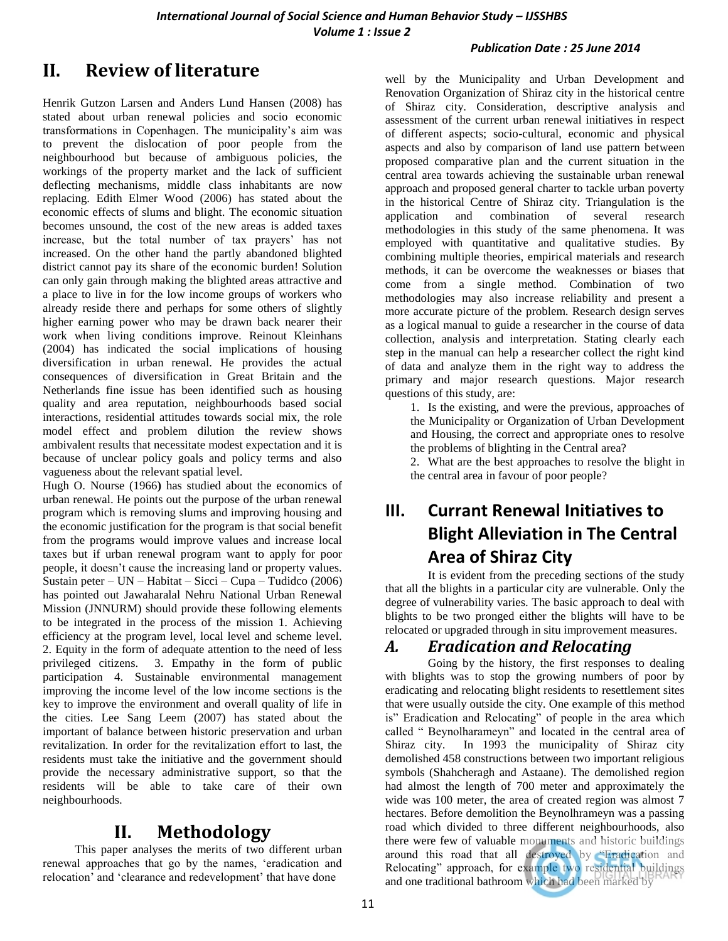#### *Publication Date : 25 June 2014*

## **II. Review of literature**

Henrik Gutzon Larsen and Anders Lund Hansen (2008) has stated about urban renewal policies and socio economic transformations in Copenhagen. The municipality's aim was to prevent the dislocation of poor people from the neighbourhood but because of ambiguous policies, the workings of the property market and the lack of sufficient deflecting mechanisms, middle class inhabitants are now replacing. Edith Elmer Wood (2006) has stated about the economic effects of slums and blight. The economic situation becomes unsound, the cost of the new areas is added taxes increase, but the total number of tax prayers' has not increased. On the other hand the partly abandoned blighted district cannot pay its share of the economic burden! Solution can only gain through making the blighted areas attractive and a place to live in for the low income groups of workers who already reside there and perhaps for some others of slightly higher earning power who may be drawn back nearer their work when living conditions improve. Reinout Kleinhans (2004) has indicated the social implications of housing diversification in urban renewal. He provides the actual consequences of diversification in Great Britain and the Netherlands fine issue has been identified such as housing quality and area reputation, neighbourhoods based social interactions, residential attitudes towards social mix, the role model effect and problem dilution the review shows ambivalent results that necessitate modest expectation and it is because of unclear policy goals and policy terms and also vagueness about the relevant spatial level.

Hugh O. Nourse (1966**)** has studied about the economics of urban renewal. He points out the purpose of the urban renewal program which is removing slums and improving housing and the economic justification for the program is that social benefit from the programs would improve values and increase local taxes but if urban renewal program want to apply for poor people, it doesn't cause the increasing land or property values. Sustain peter – UN – Habitat – Sicci – Cupa – Tudidco (2006) has pointed out Jawaharalal Nehru National Urban Renewal Mission (JNNURM) should provide these following elements to be integrated in the process of the mission 1. Achieving efficiency at the program level, local level and scheme level. 2. Equity in the form of adequate attention to the need of less privileged citizens. 3. Empathy in the form of public participation 4. Sustainable environmental management improving the income level of the low income sections is the key to improve the environment and overall quality of life in the cities. Lee Sang Leem (2007) has stated about the important of balance between historic preservation and urban revitalization. In order for the revitalization effort to last, the residents must take the initiative and the government should provide the necessary administrative support, so that the residents will be able to take care of their own neighbourhoods.

## **II. Methodology**

This paper analyses the merits of two different urban renewal approaches that go by the names, 'eradication and relocation' and 'clearance and redevelopment' that have done

well by the Municipality and Urban Development and Renovation Organization of Shiraz city in the historical centre of Shiraz city. Consideration, descriptive analysis and assessment of the current urban renewal initiatives in respect of different aspects; socio-cultural, economic and physical aspects and also by comparison of land use pattern between proposed comparative plan and the current situation in the central area towards achieving the sustainable urban renewal approach and proposed general charter to tackle urban poverty in the historical Centre of Shiraz city. Triangulation is the application and combination of several research methodologies in this study of the same phenomena. It was employed with quantitative and qualitative studies. By combining multiple theories, empirical materials and research methods, it can be overcome the weaknesses or biases that come from a single method. Combination of two methodologies may also increase reliability and present a more accurate picture of the problem. Research design serves as a logical manual to guide a researcher in the course of data collection, analysis and interpretation. Stating clearly each step in the manual can help a researcher collect the right kind of data and analyze them in the right way to address the primary and major research questions. Major research questions of this study, are:

1. Is the existing, and were the previous, approaches of the Municipality or Organization of Urban Development and Housing, the correct and appropriate ones to resolve the problems of blighting in the Central area?

2. What are the best approaches to resolve the blight in the central area in favour of poor people?

## **III. Currant Renewal Initiatives to Blight Alleviation in The Central Area of Shiraz City**

It is evident from the preceding sections of the study that all the blights in a particular city are vulnerable. Only the degree of vulnerability varies. The basic approach to deal with blights to be two pronged either the blights will have to be relocated or upgraded through in situ improvement measures.

## *A. Eradication and Relocating*

Going by the history, the first responses to dealing with blights was to stop the growing numbers of poor by eradicating and relocating blight residents to resettlement sites that were usually outside the city. One example of this method is" Eradication and Relocating" of people in the area which called "Beynolharameyn" and located in the central area of Shiraz city. In 1993 the municipality of Shiraz city demolished 458 constructions between two important religious symbols (Shahcheragh and Astaane). The demolished region had almost the length of 700 meter and approximately the wide was 100 meter, the area of created region was almost 7 hectares. Before demolition the Beynolhrameyn was a passing road which divided to three different neighbourhoods, also there were few of valuable monuments and historic buildings around this road that all destroyed by "Eradication and Relocating" approach, for example two residential buildings and one traditional bathroom which had been marked by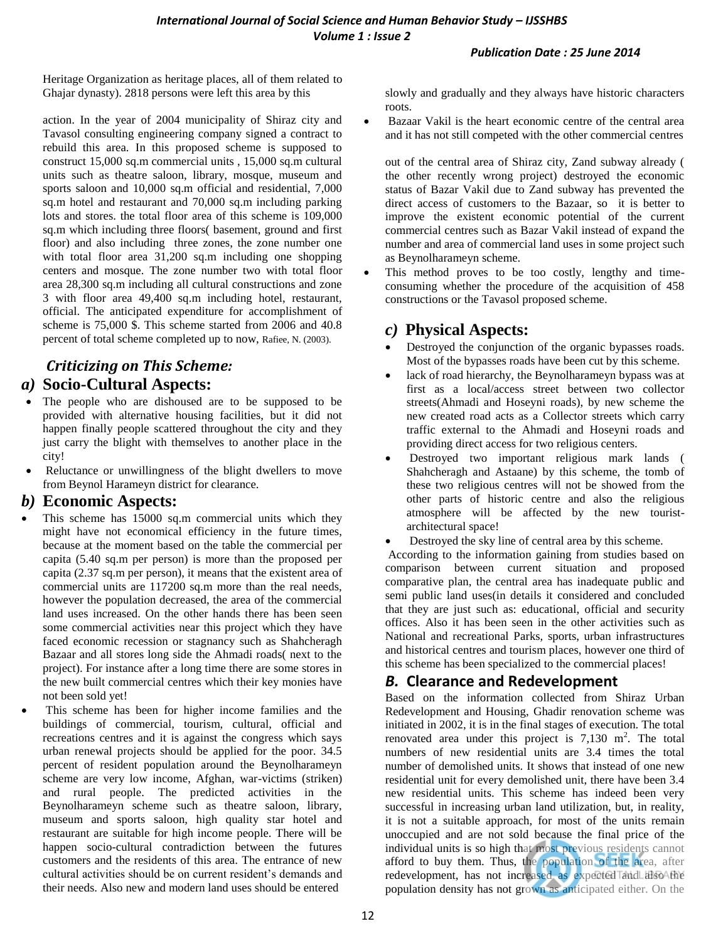#### *Publication Date : 25 June 2014*

Heritage Organization as heritage places, all of them related to Ghajar dynasty). 2818 persons were left this area by this

action. In the year of 2004 municipality of Shiraz city and Tavasol consulting engineering company signed a contract to rebuild this area. In this proposed scheme is supposed to construct 15,000 sq.m commercial units , 15,000 sq.m cultural units such as theatre saloon, library, mosque, museum and sports saloon and 10,000 sq.m official and residential, 7,000 sq.m hotel and restaurant and 70,000 sq.m including parking lots and stores. the total floor area of this scheme is 109,000 sq.m which including three floors( basement, ground and first floor) and also including three zones, the zone number one with total floor area 31,200 sq.m including one shopping centers and mosque. The zone number two with total floor area 28,300 sq.m including all cultural constructions and zone 3 with floor area 49,400 sq.m including hotel, restaurant, official. The anticipated expenditure for accomplishment of scheme is 75,000 \$. This scheme started from 2006 and 40.8 percent of total scheme completed up to now, Rafiee, N. (2003).

## *Criticizing on This Scheme: a)* **Socio-Cultural Aspects:**

- The people who are dishoused are to be supposed to be provided with alternative housing facilities, but it did not happen finally people scattered throughout the city and they just carry the blight with themselves to another place in the city!
- Reluctance or unwillingness of the blight dwellers to move from Beynol Harameyn district for clearance.

## *b)* **Economic Aspects:**

- This scheme has 15000 sq.m commercial units which they might have not economical efficiency in the future times, because at the moment based on the table the commercial per capita (5.40 sq.m per person) is more than the proposed per capita (2.37 sq.m per person), it means that the existent area of commercial units are 117200 sq.m more than the real needs, however the population decreased, the area of the commercial land uses increased. On the other hands there has been seen some commercial activities near this project which they have faced economic recession or stagnancy such as Shahcheragh Bazaar and all stores long side the Ahmadi roads( next to the project). For instance after a long time there are some stores in the new built commercial centres which their key monies have not been sold yet!
- This scheme has been for higher income families and the buildings of commercial, tourism, cultural, official and recreations centres and it is against the congress which says urban renewal projects should be applied for the poor. 34.5 percent of resident population around the Beynolharameyn scheme are very low income, Afghan, war-victims (striken) and rural people. The predicted activities in the Beynolharameyn scheme such as theatre saloon, library, museum and sports saloon, high quality star hotel and restaurant are suitable for high income people. There will be happen socio-cultural contradiction between the futures customers and the residents of this area. The entrance of new cultural activities should be on current resident's demands and their needs. Also new and modern land uses should be entered

slowly and gradually and they always have historic characters roots.

 Bazaar Vakil is the heart economic centre of the central area and it has not still competed with the other commercial centres

out of the central area of Shiraz city, Zand subway already ( the other recently wrong project) destroyed the economic status of Bazar Vakil due to Zand subway has prevented the direct access of customers to the Bazaar, so it is better to improve the existent economic potential of the current commercial centres such as Bazar Vakil instead of expand the number and area of commercial land uses in some project such as Beynolharameyn scheme.

 This method proves to be too costly, lengthy and timeconsuming whether the procedure of the acquisition of 458 constructions or the Tavasol proposed scheme.

## *c)* **Physical Aspects:**

- Destroyed the conjunction of the organic bypasses roads. Most of the bypasses roads have been cut by this scheme.
- lack of road hierarchy, the Beynolharameyn bypass was at first as a local/access street between two collector streets(Ahmadi and Hoseyni roads), by new scheme the new created road acts as a Collector streets which carry traffic external to the Ahmadi and Hoseyni roads and providing direct access for two religious centers.
- Destroyed two important religious mark lands ( Shahcheragh and Astaane) by this scheme, the tomb of these two religious centres will not be showed from the other parts of historic centre and also the religious atmosphere will be affected by the new touristarchitectural space!
- Destroyed the sky line of central area by this scheme.

According to the information gaining from studies based on comparison between current situation and proposed comparative plan, the central area has inadequate public and semi public land uses(in details it considered and concluded that they are just such as: educational, official and security offices. Also it has been seen in the other activities such as National and recreational Parks, sports, urban infrastructures and historical centres and tourism places, however one third of this scheme has been specialized to the commercial places!

## *B.* **Clearance and Redevelopment**

Based on the information collected from Shiraz Urban Redevelopment and Housing, Ghadir renovation scheme was initiated in 2002, it is in the final stages of execution. The total renovated area under this project is  $7,130 \text{ m}^2$ . The total numbers of new residential units are 3.4 times the total number of demolished units. It shows that instead of one new residential unit for every demolished unit, there have been 3.4 new residential units. This scheme has indeed been very successful in increasing urban land utilization, but, in reality, it is not a suitable approach, for most of the units remain unoccupied and are not sold because the final price of the individual units is so high that most previous residents cannot afford to buy them. Thus, the population of the area, after redevelopment, has not increased as expected and also the population density has not grown as anticipated either. On the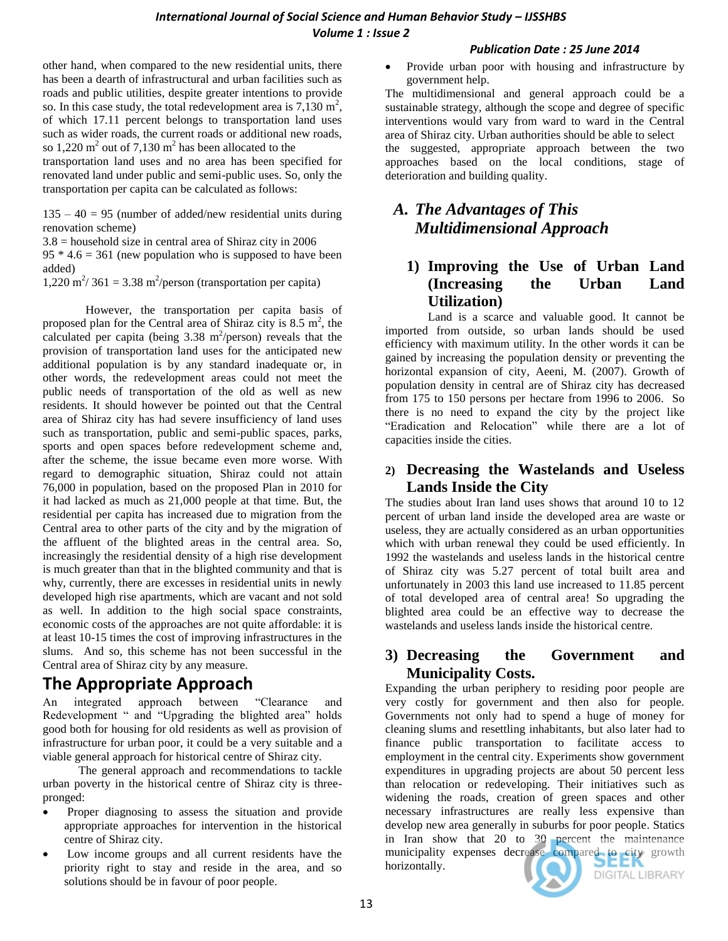#### **International Journal of Social Science and Human Behavior Study – IJSSHBS** *Volume 1 : Issue 2*

#### *Publication Date : 25 June 2014*

other hand, when compared to the new residential units, there has been a dearth of infrastructural and urban facilities such as roads and public utilities, despite greater intentions to provide so. In this case study, the total redevelopment area is  $7,130 \text{ m}^2$ , of which 17.11 percent belongs to transportation land uses such as wider roads, the current roads or additional new roads, so 1,220  $m^2$  out of 7,130  $m^2$  has been allocated to the

transportation land uses and no area has been specified for renovated land under public and semi-public uses. So, only the transportation per capita can be calculated as follows:

 $135 - 40 = 95$  (number of added/new residential units during renovation scheme)

 $3.8$  = household size in central area of Shiraz city in 2006  $95 * 4.6 = 361$  (new population who is supposed to have been

added)  $1,220 \text{ m}^2/361 = 3.38 \text{ m}^2/\text{person}$  (transportation per capita)

However, the transportation per capita basis of proposed plan for the Central area of Shiraz city is  $8.5 \text{ m}^2$ , the calculated per capita (being  $3.38 \text{ m}^2/\text{person}$ ) reveals that the provision of transportation land uses for the anticipated new additional population is by any standard inadequate or, in other words, the redevelopment areas could not meet the public needs of transportation of the old as well as new residents. It should however be pointed out that the Central area of Shiraz city has had severe insufficiency of land uses such as transportation, public and semi-public spaces, parks, sports and open spaces before redevelopment scheme and, after the scheme, the issue became even more worse. With regard to demographic situation, Shiraz could not attain 76,000 in population, based on the proposed Plan in 2010 for it had lacked as much as 21,000 people at that time. But, the residential per capita has increased due to migration from the Central area to other parts of the city and by the migration of the affluent of the blighted areas in the central area. So, increasingly the residential density of a high rise development is much greater than that in the blighted community and that is why, currently, there are excesses in residential units in newly developed high rise apartments, which are vacant and not sold as well. In addition to the high social space constraints, economic costs of the approaches are not quite affordable: it is at least 10-15 times the cost of improving infrastructures in the slums. And so, this scheme has not been successful in the Central area of Shiraz city by any measure.

## **The Appropriate Approach**

An integrated approach between "Clearance and Redevelopment " and "Upgrading the blighted area" holds good both for housing for old residents as well as provision of infrastructure for urban poor, it could be a very suitable and a viable general approach for historical centre of Shiraz city.

 The general approach and recommendations to tackle urban poverty in the historical centre of Shiraz city is threepronged:

- Proper diagnosing to assess the situation and provide appropriate approaches for intervention in the historical centre of Shiraz city.
- Low income groups and all current residents have the priority right to stay and reside in the area, and so solutions should be in favour of poor people.

 Provide urban poor with housing and infrastructure by government help.

The multidimensional and general approach could be a sustainable strategy, although the scope and degree of specific interventions would vary from ward to ward in the Central area of Shiraz city. Urban authorities should be able to select the suggested, appropriate approach between the two approaches based on the local conditions, stage of deterioration and building quality.

## *A. The Advantages of This Multidimensional Approach*

## **1) Improving the Use of Urban Land (Increasing the Urban Land Utilization)**

Land is a scarce and valuable good. It cannot be imported from outside, so urban lands should be used efficiency with maximum utility. In the other words it can be gained by increasing the population density or preventing the horizontal expansion of city, Aeeni, M. (2007). Growth of population density in central are of Shiraz city has decreased from 175 to 150 persons per hectare from 1996 to 2006. So there is no need to expand the city by the project like "Eradication and Relocation" while there are a lot of capacities inside the cities.

### **2) Decreasing the Wastelands and Useless Lands Inside the City**

The studies about Iran land uses shows that around 10 to 12 percent of urban land inside the developed area are waste or useless, they are actually considered as an urban opportunities which with urban renewal they could be used efficiently. In 1992 the wastelands and useless lands in the historical centre of Shiraz city was 5.27 percent of total built area and unfortunately in 2003 this land use increased to 11.85 percent of total developed area of central area! So upgrading the blighted area could be an effective way to decrease the wastelands and useless lands inside the historical centre.

## **3) Decreasing the Government and Municipality Costs.**

Expanding the urban periphery to residing poor people are very costly for government and then also for people. Governments not only had to spend a huge of money for cleaning slums and resettling inhabitants, but also later had to finance public transportation to facilitate access to employment in the central city. Experiments show government expenditures in upgrading projects are about 50 percent less than relocation or redeveloping. Their initiatives such as widening the roads, creation of green spaces and other necessary infrastructures are really less expensive than develop new area generally in suburbs for poor people. Statics in Iran show that 20 to 30 percent the maintenance municipality expenses decrease compared to city growth horizontally. DIGITAL LIBRARY